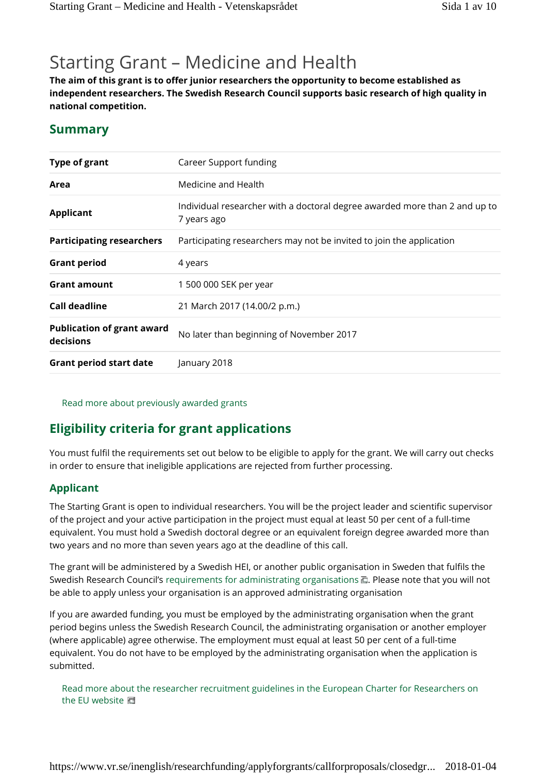# Starting Grant – Medicine and Health

**The aim of this grant is to offer junior researchers the opportunity to become established as independent researchers. The Swedish Research Council supports basic research of high quality in national competition.**

## **Summary**

| <b>Type of grant</b>                           | Career Support funding                                                                    |
|------------------------------------------------|-------------------------------------------------------------------------------------------|
| Area                                           | Medicine and Health                                                                       |
| <b>Applicant</b>                               | Individual researcher with a doctoral degree awarded more than 2 and up to<br>7 years ago |
| <b>Participating researchers</b>               | Participating researchers may not be invited to join the application                      |
| <b>Grant period</b>                            | 4 years                                                                                   |
| <b>Grant amount</b>                            | 1 500 000 SEK per year                                                                    |
| <b>Call deadline</b>                           | 21 March 2017 (14.00/2 p.m.)                                                              |
| <b>Publication of grant award</b><br>decisions | No later than beginning of November 2017                                                  |
| <b>Grant period start date</b>                 | January 2018                                                                              |

Read more about previously awarded grants

## **Eligibility criteria for grant applications**

You must fulfil the requirements set out below to be eligible to apply for the grant. We will carry out checks in order to ensure that ineligible applications are rejected from further processing.

#### **Applicant**

The Starting Grant is open to individual researchers. You will be the project leader and scientific supervisor of the project and your active participation in the project must equal at least 50 per cent of a full-time equivalent. You must hold a Swedish doctoral degree or an equivalent foreign degree awarded more than two years and no more than seven years ago at the deadline of this call.

The grant will be administered by a Swedish HEI, or another public organisation in Sweden that fulfils the Swedish Research Council's requirements for administrating organisations  $\Box$ . Please note that you will not be able to apply unless your organisation is an approved administrating organisation

If you are awarded funding, you must be employed by the administrating organisation when the grant period begins unless the Swedish Research Council, the administrating organisation or another employer (where applicable) agree otherwise. The employment must equal at least 50 per cent of a full-time equivalent. You do not have to be employed by the administrating organisation when the application is submitted.

Read more about the researcher recruitment guidelines in the European Charter for Researchers on the EU website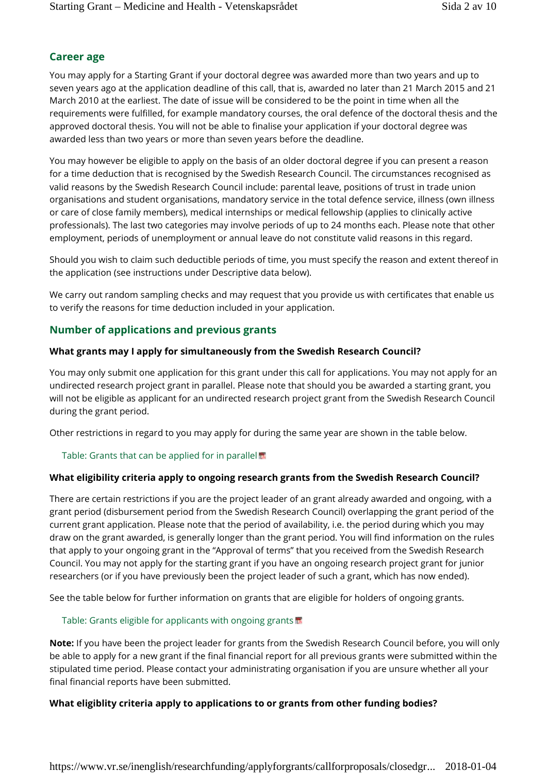## **Career age**

You may apply for a Starting Grant if your doctoral degree was awarded more than two years and up to seven years ago at the application deadline of this call, that is, awarded no later than 21 March 2015 and 21 March 2010 at the earliest. The date of issue will be considered to be the point in time when all the requirements were fulfilled, for example mandatory courses, the oral defence of the doctoral thesis and the approved doctoral thesis. You will not be able to finalise your application if your doctoral degree was awarded less than two years or more than seven years before the deadline.

You may however be eligible to apply on the basis of an older doctoral degree if you can present a reason for a time deduction that is recognised by the Swedish Research Council. The circumstances recognised as valid reasons by the Swedish Research Council include: parental leave, positions of trust in trade union organisations and student organisations, mandatory service in the total defence service, illness (own illness or care of close family members), medical internships or medical fellowship (applies to clinically active professionals). The last two categories may involve periods of up to 24 months each. Please note that other employment, periods of unemployment or annual leave do not constitute valid reasons in this regard.

Should you wish to claim such deductible periods of time, you must specify the reason and extent thereof in the application (see instructions under Descriptive data below).

We carry out random sampling checks and may request that you provide us with certificates that enable us to verify the reasons for time deduction included in your application.

## **Number of applications and previous grants**

## **What grants may I apply for simultaneously from the Swedish Research Council?**

You may only submit one application for this grant under this call for applications. You may not apply for an undirected research project grant in parallel. Please note that should you be awarded a starting grant, you will not be eligible as applicant for an undirected research project grant from the Swedish Research Council during the grant period.

Other restrictions in regard to you may apply for during the same year are shown in the table below.

## Table: Grants that can be applied for in parallel

## **What eligibility criteria apply to ongoing research grants from the Swedish Research Council?**

There are certain restrictions if you are the project leader of an grant already awarded and ongoing, with a grant period (disbursement period from the Swedish Research Council) overlapping the grant period of the current grant application. Please note that the period of availability, i.e. the period during which you may draw on the grant awarded, is generally longer than the grant period. You will find information on the rules that apply to your ongoing grant in the "Approval of terms" that you received from the Swedish Research Council. You may not apply for the starting grant if you have an ongoing research project grant for junior researchers (or if you have previously been the project leader of such a grant, which has now ended).

See the table below for further information on grants that are eligible for holders of ongoing grants.

## Table: Grants eligible for applicants with ongoing grants

**Note:** If you have been the project leader for grants from the Swedish Research Council before, you will only be able to apply for a new grant if the final financial report for all previous grants were submitted within the stipulated time period. Please contact your administrating organisation if you are unsure whether all your final financial reports have been submitted.

## **What eligiblity criteria apply to applications to or grants from other funding bodies?**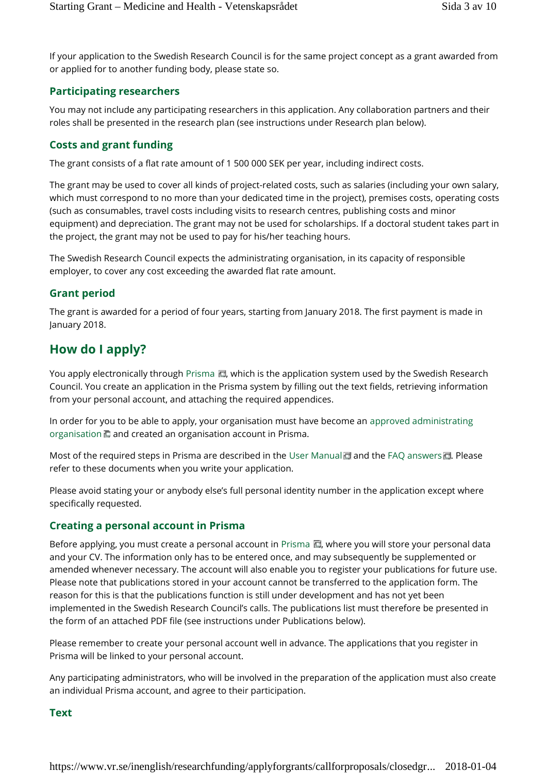If your application to the Swedish Research Council is for the same project concept as a grant awarded from or applied for to another funding body, please state so.

#### **Participating researchers**

You may not include any participating researchers in this application. Any collaboration partners and their roles shall be presented in the research plan (see instructions under Research plan below).

### **Costs and grant funding**

The grant consists of a flat rate amount of 1 500 000 SEK per year, including indirect costs.

The grant may be used to cover all kinds of project-related costs, such as salaries (including your own salary, which must correspond to no more than your dedicated time in the project), premises costs, operating costs (such as consumables, travel costs including visits to research centres, publishing costs and minor equipment) and depreciation. The grant may not be used for scholarships. If a doctoral student takes part in the project, the grant may not be used to pay for his/her teaching hours.

The Swedish Research Council expects the administrating organisation, in its capacity of responsible employer, to cover any cost exceeding the awarded flat rate amount.

#### **Grant period**

The grant is awarded for a period of four years, starting from January 2018. The first payment is made in January 2018.

## **How do I apply?**

You apply electronically through Prisma  $\blacksquare$ , which is the application system used by the Swedish Research Council. You create an application in the Prisma system by filling out the text fields, retrieving information from your personal account, and attaching the required appendices.

In order for you to be able to apply, your organisation must have become an approved administrating organisation  $\Box$  and created an organisation account in Prisma.

Most of the required steps in Prisma are described in the User Manual and the FAQ answers **...** Please refer to these documents when you write your application.

Please avoid stating your or anybody else's full personal identity number in the application except where specifically requested.

#### **Creating a personal account in Prisma**

Before applying, you must create a personal account in Prisma  $\Box$ , where you will store your personal data and your CV. The information only has to be entered once, and may subsequently be supplemented or amended whenever necessary. The account will also enable you to register your publications for future use. Please note that publications stored in your account cannot be transferred to the application form. The reason for this is that the publications function is still under development and has not yet been implemented in the Swedish Research Council's calls. The publications list must therefore be presented in the form of an attached PDF file (see instructions under Publications below).

Please remember to create your personal account well in advance. The applications that you register in Prisma will be linked to your personal account.

Any participating administrators, who will be involved in the preparation of the application must also create an individual Prisma account, and agree to their participation.

#### **Text**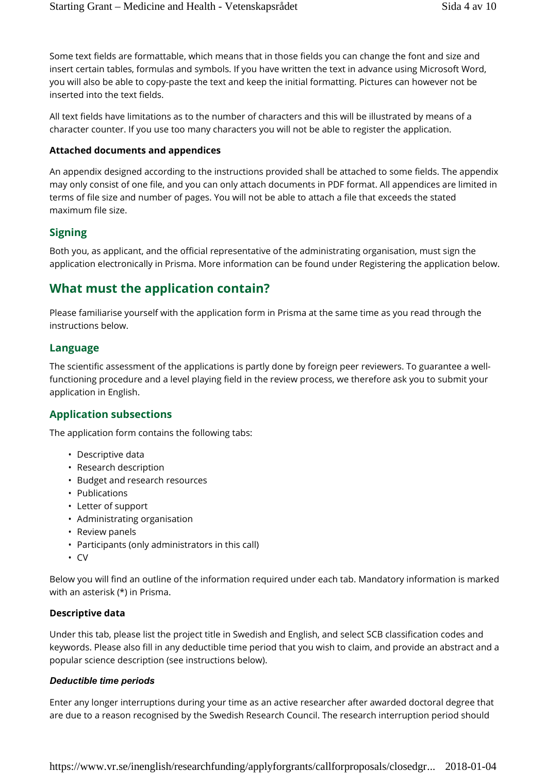Some text fields are formattable, which means that in those fields you can change the font and size and insert certain tables, formulas and symbols. If you have written the text in advance using Microsoft Word, you will also be able to copy-paste the text and keep the initial formatting. Pictures can however not be inserted into the text fields.

All text fields have limitations as to the number of characters and this will be illustrated by means of a character counter. If you use too many characters you will not be able to register the application.

#### **Attached documents and appendices**

An appendix designed according to the instructions provided shall be attached to some fields. The appendix may only consist of one file, and you can only attach documents in PDF format. All appendices are limited in terms of file size and number of pages. You will not be able to attach a file that exceeds the stated maximum file size.

#### **Signing**

Both you, as applicant, and the official representative of the administrating organisation, must sign the application electronically in Prisma. More information can be found under Registering the application below.

## **What must the application contain?**

Please familiarise yourself with the application form in Prisma at the same time as you read through the instructions below.

#### **Language**

The scientific assessment of the applications is partly done by foreign peer reviewers. To guarantee a wellfunctioning procedure and a level playing field in the review process, we therefore ask you to submit your application in English.

#### **Application subsections**

The application form contains the following tabs:

- Descriptive data
- Research description
- Budget and research resources
- Publications
- Letter of support
- Administrating organisation
- Review panels
- Participants (only administrators in this call)
- CV

Below you will find an outline of the information required under each tab. Mandatory information is marked with an asterisk (\*) in Prisma.

#### **Descriptive data**

Under this tab, please list the project title in Swedish and English, and select SCB classification codes and keywords. Please also fill in any deductible time period that you wish to claim, and provide an abstract and a popular science description (see instructions below).

#### *Deductible time periods*

Enter any longer interruptions during your time as an active researcher after awarded doctoral degree that are due to a reason recognised by the Swedish Research Council. The research interruption period should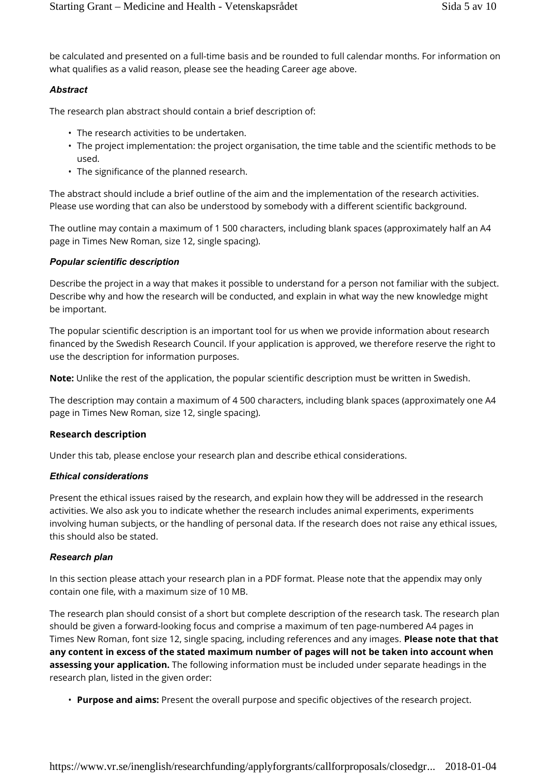be calculated and presented on a full-time basis and be rounded to full calendar months. For information on what qualifies as a valid reason, please see the heading Career age above.

#### *Abstract*

The research plan abstract should contain a brief description of:

- The research activities to be undertaken.
- The project implementation: the project organisation, the time table and the scientific methods to be used.
- The significance of the planned research.

The abstract should include a brief outline of the aim and the implementation of the research activities. Please use wording that can also be understood by somebody with a different scientific background.

The outline may contain a maximum of 1 500 characters, including blank spaces (approximately half an A4 page in Times New Roman, size 12, single spacing).

#### *Popular scientific description*

Describe the project in a way that makes it possible to understand for a person not familiar with the subject. Describe why and how the research will be conducted, and explain in what way the new knowledge might be important.

The popular scientific description is an important tool for us when we provide information about research financed by the Swedish Research Council. If your application is approved, we therefore reserve the right to use the description for information purposes.

**Note:** Unlike the rest of the application, the popular scientific description must be written in Swedish.

The description may contain a maximum of 4 500 characters, including blank spaces (approximately one A4 page in Times New Roman, size 12, single spacing).

#### **Research description**

Under this tab, please enclose your research plan and describe ethical considerations.

#### *Ethical considerations*

Present the ethical issues raised by the research, and explain how they will be addressed in the research activities. We also ask you to indicate whether the research includes animal experiments, experiments involving human subjects, or the handling of personal data. If the research does not raise any ethical issues, this should also be stated.

#### *Research plan*

In this section please attach your research plan in a PDF format. Please note that the appendix may only contain one file, with a maximum size of 10 MB.

The research plan should consist of a short but complete description of the research task. The research plan should be given a forward-looking focus and comprise a maximum of ten page-numbered A4 pages in Times New Roman, font size 12, single spacing, including references and any images. **Please note that that any content in excess of the stated maximum number of pages will not be taken into account when assessing your application.** The following information must be included under separate headings in the research plan, listed in the given order:

• **Purpose and aims:** Present the overall purpose and specific objectives of the research project.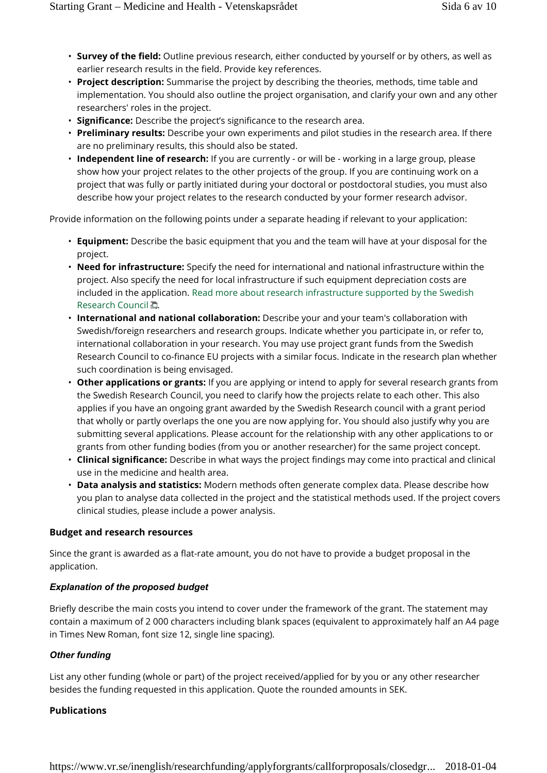- **Survey of the field:** Outline previous research, either conducted by yourself or by others, as well as earlier research results in the field. Provide key references.
- **Project description:** Summarise the project by describing the theories, methods, time table and implementation. You should also outline the project organisation, and clarify your own and any other researchers' roles in the project.
- **Significance:** Describe the project's significance to the research area.
- **Preliminary results:** Describe your own experiments and pilot studies in the research area. If there are no preliminary results, this should also be stated.
- **Independent line of research:** If you are currently or will be working in a large group, please show how your project relates to the other projects of the group. If you are continuing work on a project that was fully or partly initiated during your doctoral or postdoctoral studies, you must also describe how your project relates to the research conducted by your former research advisor.

Provide information on the following points under a separate heading if relevant to your application:

- **Equipment:** Describe the basic equipment that you and the team will have at your disposal for the project.
- **Need for infrastructure:** Specify the need for international and national infrastructure within the project. Also specify the need for local infrastructure if such equipment depreciation costs are included in the application. Read more about research infrastructure supported by the Swedish Research Council ...
- **International and national collaboration:** Describe your and your team's collaboration with Swedish/foreign researchers and research groups. Indicate whether you participate in, or refer to, international collaboration in your research. You may use project grant funds from the Swedish Research Council to co-finance EU projects with a similar focus. Indicate in the research plan whether such coordination is being envisaged.
- **Other applications or grants:** If you are applying or intend to apply for several research grants from the Swedish Research Council, you need to clarify how the projects relate to each other. This also applies if you have an ongoing grant awarded by the Swedish Research council with a grant period that wholly or partly overlaps the one you are now applying for. You should also justify why you are submitting several applications. Please account for the relationship with any other applications to or grants from other funding bodies (from you or another researcher) for the same project concept.
- **Clinical significance:** Describe in what ways the project findings may come into practical and clinical use in the medicine and health area.
- **Data analysis and statistics:** Modern methods often generate complex data. Please describe how you plan to analyse data collected in the project and the statistical methods used. If the project covers clinical studies, please include a power analysis.

#### **Budget and research resources**

Since the grant is awarded as a flat-rate amount, you do not have to provide a budget proposal in the application.

#### *Explanation of the proposed budget*

Briefly describe the main costs you intend to cover under the framework of the grant. The statement may contain a maximum of 2 000 characters including blank spaces (equivalent to approximately half an A4 page in Times New Roman, font size 12, single line spacing).

#### *Other funding*

List any other funding (whole or part) of the project received/applied for by you or any other researcher besides the funding requested in this application. Quote the rounded amounts in SEK.

#### **Publications**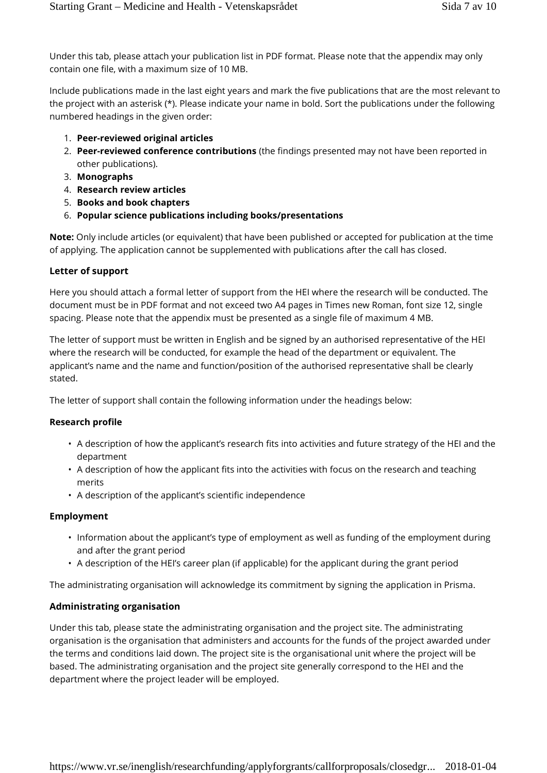Under this tab, please attach your publication list in PDF format. Please note that the appendix may only contain one file, with a maximum size of 10 MB.

Include publications made in the last eight years and mark the five publications that are the most relevant to the project with an asterisk (\*). Please indicate your name in bold. Sort the publications under the following numbered headings in the given order:

- 1. **Peer-reviewed original articles**
- 2. **Peer-reviewed conference contributions** (the findings presented may not have been reported in other publications).
- 3. **Monographs**
- 4. **Research review articles**
- 5. **Books and book chapters**
- 6. **Popular science publications including books/presentations**

**Note:** Only include articles (or equivalent) that have been published or accepted for publication at the time of applying. The application cannot be supplemented with publications after the call has closed.

#### **Letter of support**

Here you should attach a formal letter of support from the HEI where the research will be conducted. The document must be in PDF format and not exceed two A4 pages in Times new Roman, font size 12, single spacing. Please note that the appendix must be presented as a single file of maximum 4 MB.

The letter of support must be written in English and be signed by an authorised representative of the HEI where the research will be conducted, for example the head of the department or equivalent. The applicant's name and the name and function/position of the authorised representative shall be clearly stated.

The letter of support shall contain the following information under the headings below:

#### **Research profile**

- A description of how the applicant's research fits into activities and future strategy of the HEI and the department
- A description of how the applicant fits into the activities with focus on the research and teaching merits
- A description of the applicant's scientific independence

#### **Employment**

- Information about the applicant's type of employment as well as funding of the employment during and after the grant period
- A description of the HEI's career plan (if applicable) for the applicant during the grant period

The administrating organisation will acknowledge its commitment by signing the application in Prisma.

#### **Administrating organisation**

Under this tab, please state the administrating organisation and the project site. The administrating organisation is the organisation that administers and accounts for the funds of the project awarded under the terms and conditions laid down. The project site is the organisational unit where the project will be based. The administrating organisation and the project site generally correspond to the HEI and the department where the project leader will be employed.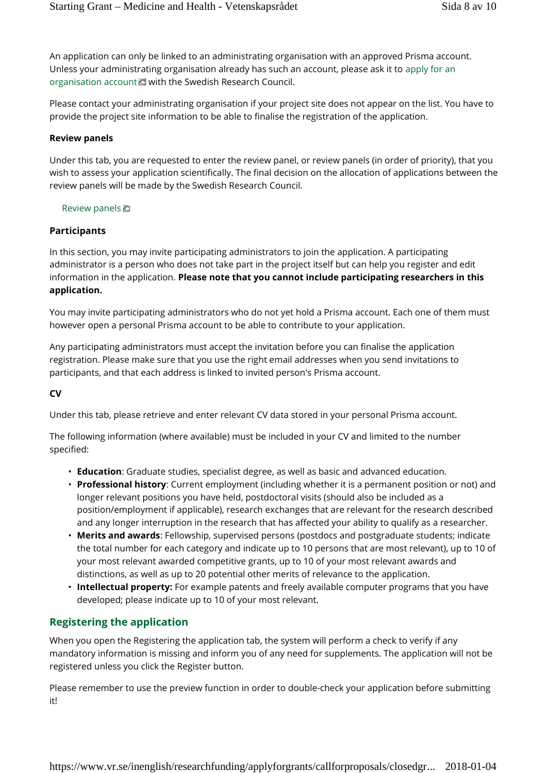An application can only be linked to an administrating organisation with an approved Prisma account. Unless your administrating organisation already has such an account, please ask it to apply for an organisation account with the Swedish Research Council.

Please contact your administrating organisation if your project site does not appear on the list. You have to provide the project site information to be able to finalise the registration of the application.

#### **Review panels**

Under this tab, you are requested to enter the review panel, or review panels (in order of priority), that you wish to assess your application scientifically. The final decision on the allocation of applications between the review panels will be made by the Swedish Research Council.

#### Review panels

#### **Participants**

In this section, you may invite participating administrators to join the application. A participating administrator is a person who does not take part in the project itself but can help you register and edit information in the application. **Please note that you cannot include participating researchers in this application.**

You may invite participating administrators who do not yet hold a Prisma account. Each one of them must however open a personal Prisma account to be able to contribute to your application.

Any participating administrators must accept the invitation before you can finalise the application registration. Please make sure that you use the right email addresses when you send invitations to participants, and that each address is linked to invited person's Prisma account.

#### **CV**

Under this tab, please retrieve and enter relevant CV data stored in your personal Prisma account.

The following information (where available) must be included in your CV and limited to the number specified:

- **Education**: Graduate studies, specialist degree, as well as basic and advanced education.
- **Professional history**: Current employment (including whether it is a permanent position or not) and longer relevant positions you have held, postdoctoral visits (should also be included as a position/employment if applicable), research exchanges that are relevant for the research described and any longer interruption in the research that has affected your ability to qualify as a researcher.
- **Merits and awards**: Fellowship, supervised persons (postdocs and postgraduate students; indicate the total number for each category and indicate up to 10 persons that are most relevant), up to 10 of your most relevant awarded competitive grants, up to 10 of your most relevant awards and distinctions, as well as up to 20 potential other merits of relevance to the application.
- **Intellectual property:** For example patents and freely available computer programs that you have developed; please indicate up to 10 of your most relevant.

## **Registering the application**

When you open the Registering the application tab, the system will perform a check to verify if any mandatory information is missing and inform you of any need for supplements. The application will not be registered unless you click the Register button.

Please remember to use the preview function in order to double-check your application before submitting it!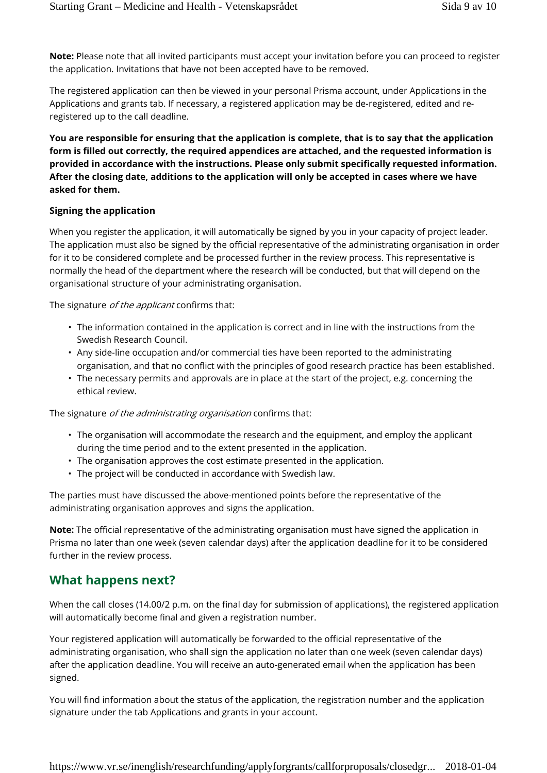**Note:** Please note that all invited participants must accept your invitation before you can proceed to register the application. Invitations that have not been accepted have to be removed.

The registered application can then be viewed in your personal Prisma account, under Applications in the Applications and grants tab. If necessary, a registered application may be de-registered, edited and reregistered up to the call deadline.

**You are responsible for ensuring that the application is complete, that is to say that the application form is filled out correctly, the required appendices are attached, and the requested information is provided in accordance with the instructions. Please only submit specifically requested information. After the closing date, additions to the application will only be accepted in cases where we have asked for them.**

#### **Signing the application**

When you register the application, it will automatically be signed by you in your capacity of project leader. The application must also be signed by the official representative of the administrating organisation in order for it to be considered complete and be processed further in the review process. This representative is normally the head of the department where the research will be conducted, but that will depend on the organisational structure of your administrating organisation.

The signature *of the applicant* confirms that:

- The information contained in the application is correct and in line with the instructions from the Swedish Research Council.
- Any side-line occupation and/or commercial ties have been reported to the administrating organisation, and that no conflict with the principles of good research practice has been established.
- The necessary permits and approvals are in place at the start of the project, e.g. concerning the ethical review.

The signature *of the administrating organisation* confirms that:

- The organisation will accommodate the research and the equipment, and employ the applicant during the time period and to the extent presented in the application.
- The organisation approves the cost estimate presented in the application.
- The project will be conducted in accordance with Swedish law.

The parties must have discussed the above-mentioned points before the representative of the administrating organisation approves and signs the application.

**Note:** The official representative of the administrating organisation must have signed the application in Prisma no later than one week (seven calendar days) after the application deadline for it to be considered further in the review process.

## **What happens next?**

When the call closes (14.00/2 p.m. on the final day for submission of applications), the registered application will automatically become final and given a registration number.

Your registered application will automatically be forwarded to the official representative of the administrating organisation, who shall sign the application no later than one week (seven calendar days) after the application deadline. You will receive an auto-generated email when the application has been signed.

You will find information about the status of the application, the registration number and the application signature under the tab Applications and grants in your account.